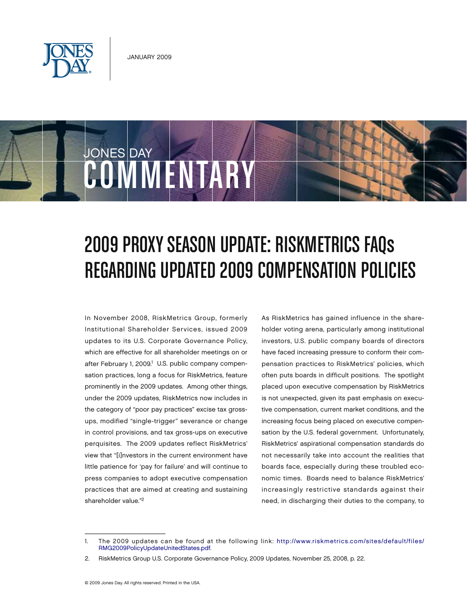

COMMENTARY

JONES DAY



In November 2008, RiskMetrics Group, formerly Institutional Shareholder Services, issued 2009 updates to its U.S. Corporate Governance Policy, which are effective for all shareholder meetings on or after February 1, 2009.<sup>1</sup> U.S. public company compensation practices, long a focus for RiskMetrics, feature prominently in the 2009 updates. Among other things, under the 2009 updates, RiskMetrics now includes in the category of "poor pay practices" excise tax grossups, modified "single-trigger" severance or change in control provisions, and tax gross-ups on executive perquisites. The 2009 updates reflect RiskMetrics' view that "[i]nvestors in the current environment have little patience for 'pay for failure' and will continue to press companies to adopt executive compensation practices that are aimed at creating and sustaining shareholder value."2

As RiskMetrics has gained influence in the shareholder voting arena, particularly among institutional investors, U.S. public company boards of directors have faced increasing pressure to conform their compensation practices to RiskMetrics' policies, which often puts boards in difficult positions. The spotlight placed upon executive compensation by RiskMetrics is not unexpected, given its past emphasis on executive compensation, current market conditions, and the increasing focus being placed on executive compensation by the U.S. federal government. Unfortunately, RiskMetrics' aspirational compensation standards do not necessarily take into account the realities that boards face, especially during these troubled economic times. Boards need to balance RiskMetrics' increasingly restrictive standards against their need, in discharging their duties to the company, to

 $\overline{\phantom{a}}$  , which is a set of the set of the set of the set of the set of the set of the set of the set of the set of the set of the set of the set of the set of the set of the set of the set of the set of the set of th

<sup>1.</sup> The 2009 updates can be found at the following link: [http://www.riskmetrics.com/sites/default/files/](http://www.riskmetrics.com/sites/default/files/RMG2009PolicyUpdateUnitedStates.pdf) [RMG2009PolicyUpdateUnitedStates.pdf.](http://www.riskmetrics.com/sites/default/files/RMG2009PolicyUpdateUnitedStates.pdf)

<sup>2.</sup> RiskMetrics Group U.S. Corporate Governance Policy, 2009 Updates, November 25, 2008, p. 22.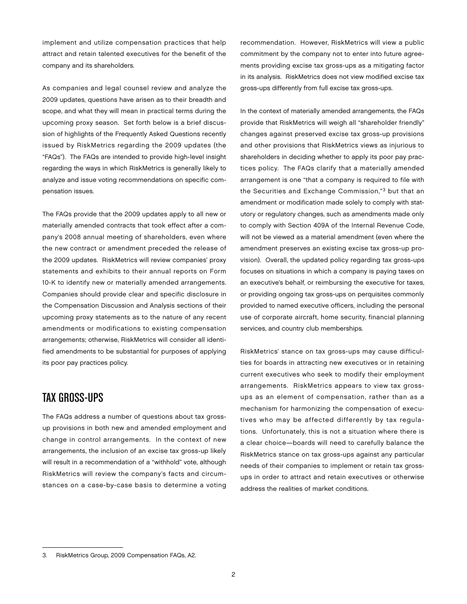implement and utilize compensation practices that help attract and retain talented executives for the benefit of the company and its shareholders.

As companies and legal counsel review and analyze the 2009 updates, questions have arisen as to their breadth and scope, and what they will mean in practical terms during the upcoming proxy season. Set forth below is a brief discussion of highlights of the Frequently Asked Questions recently issued by RiskMetrics regarding the 2009 updates (the "FAQs"). The FAQs are intended to provide high-level insight regarding the ways in which RiskMetrics is generally likely to analyze and issue voting recommendations on specific compensation issues.

The FAQs provide that the 2009 updates apply to all new or materially amended contracts that took effect after a company's 2008 annual meeting of shareholders, even where the new contract or amendment preceded the release of the 2009 updates. RiskMetrics will review companies' proxy statements and exhibits to their annual reports on Form 10-K to identify new or materially amended arrangements. Companies should provide clear and specific disclosure in the Compensation Discussion and Analysis sections of their upcoming proxy statements as to the nature of any recent amendments or modifications to existing compensation arrangements; otherwise, RiskMetrics will consider all identified amendments to be substantial for purposes of applying its poor pay practices policy.

# Tax Gross-Ups

The FAQs address a number of questions about tax grossup provisions in both new and amended employment and change in control arrangements. In the context of new arrangements, the inclusion of an excise tax gross-up likely will result in a recommendation of a "withhold" vote, although RiskMetrics will review the company's facts and circumstances on a case-by-case basis to determine a voting

recommendation. However, RiskMetrics will view a public commitment by the company not to enter into future agreements providing excise tax gross-ups as a mitigating factor in its analysis. RiskMetrics does not view modified excise tax gross-ups differently from full excise tax gross-ups.

In the context of materially amended arrangements, the FAQs provide that RiskMetrics will weigh all "shareholder friendly" changes against preserved excise tax gross-up provisions and other provisions that RiskMetrics views as injurious to shareholders in deciding whether to apply its poor pay practices policy. The FAQs clarify that a materially amended arrangement is one "that a company is required to file with the Securities and Exchange Commission,"3 but that an amendment or modification made solely to comply with statutory or regulatory changes, such as amendments made only to comply with Section 409A of the Internal Revenue Code, will not be viewed as a material amendment (even where the amendment preserves an existing excise tax gross-up provision). Overall, the updated policy regarding tax gross-ups focuses on situations in which a company is paying taxes on an executive's behalf, or reimbursing the executive for taxes, or providing ongoing tax gross-ups on perquisites commonly provided to named executive officers, including the personal use of corporate aircraft, home security, financial planning services, and country club memberships.

RiskMetrics' stance on tax gross-ups may cause difficulties for boards in attracting new executives or in retaining current executives who seek to modify their employment arrangements. RiskMetrics appears to view tax grossups as an element of compensation, rather than as a mechanism for harmonizing the compensation of executives who may be affected differently by tax regulations. Unfortunately, this is not a situation where there is a clear choice—boards will need to carefully balance the RiskMetrics stance on tax gross-ups against any particular needs of their companies to implement or retain tax grossups in order to attract and retain executives or otherwise address the realities of market conditions.

\_\_\_\_\_\_\_\_\_\_\_\_\_\_\_

<sup>3.</sup> RiskMetrics Group, 2009 Compensation FAQs, A2.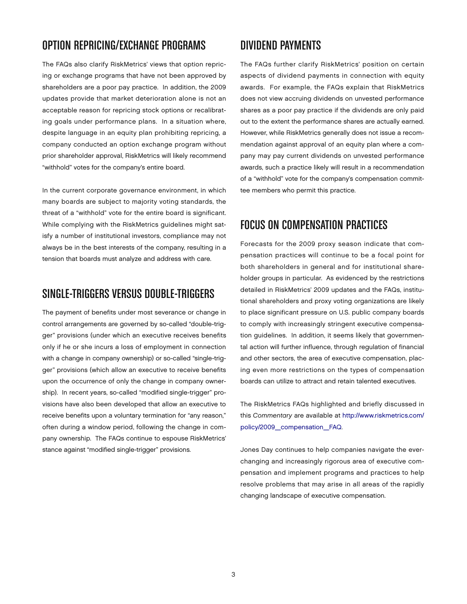### OPTION REPRICING/EXCHANGE PROGRAMS

The FAQs also clarify RiskMetrics' views that option repricing or exchange programs that have not been approved by shareholders are a poor pay practice. In addition, the 2009 updates provide that market deterioration alone is not an acceptable reason for repricing stock options or recalibrating goals under performance plans. In a situation where, despite language in an equity plan prohibiting repricing, a company conducted an option exchange program without prior shareholder approval, RiskMetrics will likely recommend "withhold" votes for the company's entire board.

In the current corporate governance environment, in which many boards are subject to majority voting standards, the threat of a "withhold" vote for the entire board is significant. While complying with the RiskMetrics guidelines might satisfy a number of institutional investors, compliance may not always be in the best interests of the company, resulting in a tension that boards must analyze and address with care.

#### SINGLE-TRIGGERS VERSUS DOUBLE-TRIGGERS

The payment of benefits under most severance or change in control arrangements are governed by so-called "double-trigger" provisions (under which an executive receives benefits only if he or she incurs a loss of employment in connection with a change in company ownership) or so-called "single-trigger" provisions (which allow an executive to receive benefits upon the occurrence of only the change in company ownership). In recent years, so-called "modified single-trigger" provisions have also been developed that allow an executive to receive benefits upon a voluntary termination for "any reason," often during a window period, following the change in company ownership. The FAQs continue to espouse RiskMetrics' stance against "modified single-trigger" provisions.

### DIVIDEND PAYMENTS

The FAQs further clarify RiskMetrics' position on certain aspects of dividend payments in connection with equity awards. For example, the FAQs explain that RiskMetrics does not view accruing dividends on unvested performance shares as a poor pay practice if the dividends are only paid out to the extent the performance shares are actually earned. However, while RiskMetrics generally does not issue a recommendation against approval of an equity plan where a company may pay current dividends on unvested performance awards, such a practice likely will result in a recommendation of a "withhold" vote for the company's compensation committee members who permit this practice.

## FOCUS ON COMPENSATION PRACTICES

Forecasts for the 2009 proxy season indicate that compensation practices will continue to be a focal point for both shareholders in general and for institutional shareholder groups in particular. As evidenced by the restrictions detailed in RiskMetrics' 2009 updates and the FAQs, institutional shareholders and proxy voting organizations are likely to place significant pressure on U.S. public company boards to comply with increasingly stringent executive compensation guidelines. In addition, it seems likely that governmental action will further influence, through regulation of financial and other sectors, the area of executive compensation, placing even more restrictions on the types of compensation boards can utilize to attract and retain talented executives.

The RiskMetrics FAQs highlighted and briefly discussed in this *Commentary* are available at [http://www.riskmetrics.com/](http://www.riskmetrics.com/policy/2009_compensation_FAQ) [policy/2009\\_compensation\\_FAQ.](http://www.riskmetrics.com/policy/2009_compensation_FAQ) 

Jones Day continues to help companies navigate the everchanging and increasingly rigorous area of executive compensation and implement programs and practices to help resolve problems that may arise in all areas of the rapidly changing landscape of executive compensation.